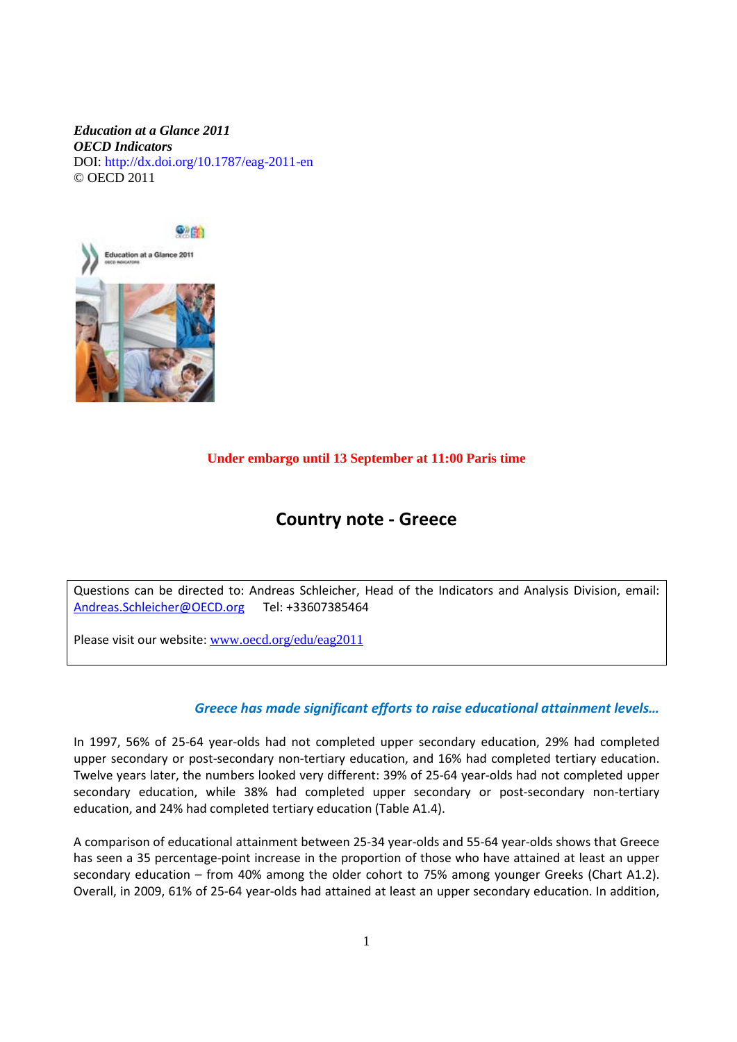### *Education at a Glance 2011 OECD Indicators*  DOI: http://dx.doi.org/10.1787/eag-2011-en © OECD 2011



### **Under embargo until 13 September at 11:00 Paris time**

# **Country note - Greece**

Questions can be directed to: Andreas Schleicher, Head of the Indicators and Analysis Division, email: [Andreas.Schleicher@OECD.org](mailto:Andreas.Schleicher@OECD.org) Tel: +33607385464

Please visit our website: [www.oecd.org/edu/eag2011](http://www.oecd.org/edu/eag2011)

### *Greece has made significant efforts to raise educational attainment levels…*

In 1997, 56% of 25-64 year-olds had not completed upper secondary education, 29% had completed upper secondary or post-secondary non-tertiary education, and 16% had completed tertiary education. Twelve years later, the numbers looked very different: 39% of 25-64 year-olds had not completed upper secondary education, while 38% had completed upper secondary or post-secondary non-tertiary education, and 24% had completed tertiary education (Table A1.4).

A comparison of educational attainment between 25-34 year-olds and 55-64 year-olds shows that Greece has seen a 35 percentage-point increase in the proportion of those who have attained at least an upper secondary education – from 40% among the older cohort to 75% among younger Greeks (Chart A1.2). Overall, in 2009, 61% of 25-64 year-olds had attained at least an upper secondary education. In addition,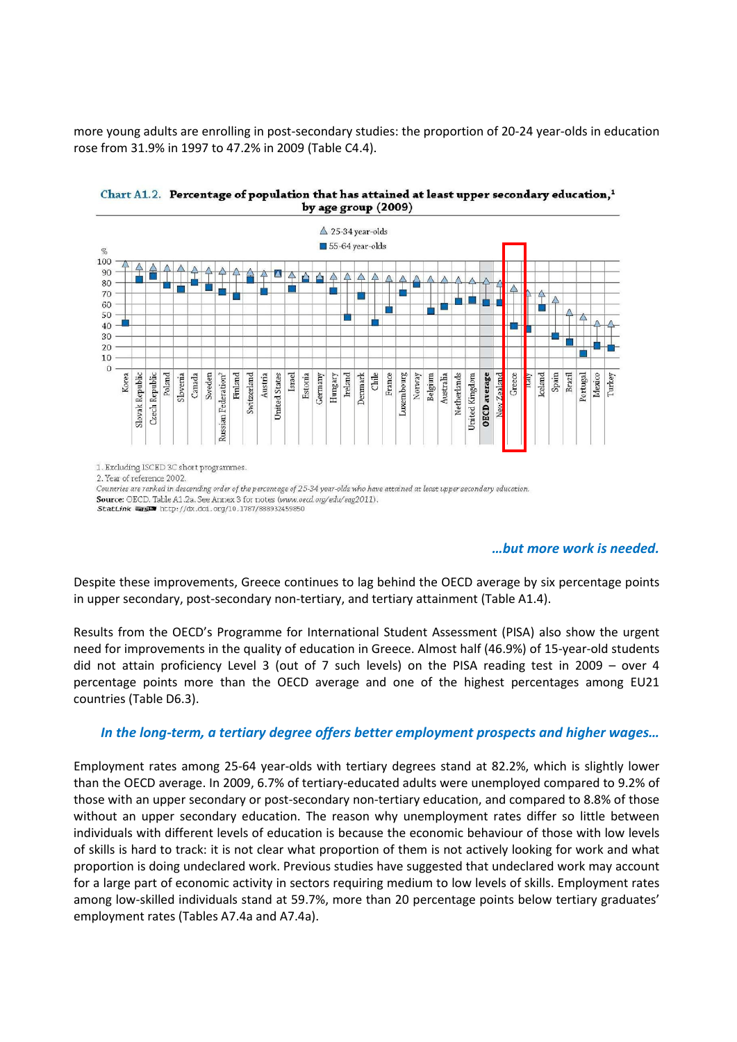more young adults are enrolling in post-secondary studies: the proportion of 20-24 year-olds in education rose from 31.9% in 1997 to 47.2% in 2009 (Table C4.4).





2. Year of reference 2002

Countries are ranked in descending order of the percentage of 25-34 year-olds who have attained at least upper secondary education. Source: OECD. Table A1.2a. See Annex 3 for notes (www.oecd.org/edu/eag2011). StatLink #### http://dx.doi.org/10.1787/888932459850

### *…but more work is needed.*

Despite these improvements, Greece continues to lag behind the OECD average by six percentage points in upper secondary, post-secondary non-tertiary, and tertiary attainment (Table A1.4).

Results from the OECD's Programme for International Student Assessment (PISA) also show the urgent need for improvements in the quality of education in Greece. Almost half (46.9%) of 15-year-old students did not attain proficiency Level 3 (out of 7 such levels) on the PISA reading test in 2009 – over 4 percentage points more than the OECD average and one of the highest percentages among EU21 countries (Table D6.3).

# *In the long-term, a tertiary degree offers better employment prospects and higher wages…*

Employment rates among 25-64 year-olds with tertiary degrees stand at 82.2%, which is slightly lower than the OECD average. In 2009, 6.7% of tertiary-educated adults were unemployed compared to 9.2% of those with an upper secondary or post-secondary non-tertiary education, and compared to 8.8% of those without an upper secondary education. The reason why unemployment rates differ so little between individuals with different levels of education is because the economic behaviour of those with low levels of skills is hard to track: it is not clear what proportion of them is not actively looking for work and what proportion is doing undeclared work. Previous studies have suggested that undeclared work may account for a large part of economic activity in sectors requiring medium to low levels of skills. Employment rates among low-skilled individuals stand at 59.7%, more than 20 percentage points below tertiary graduates' employment rates (Tables A7.4a and A7.4a).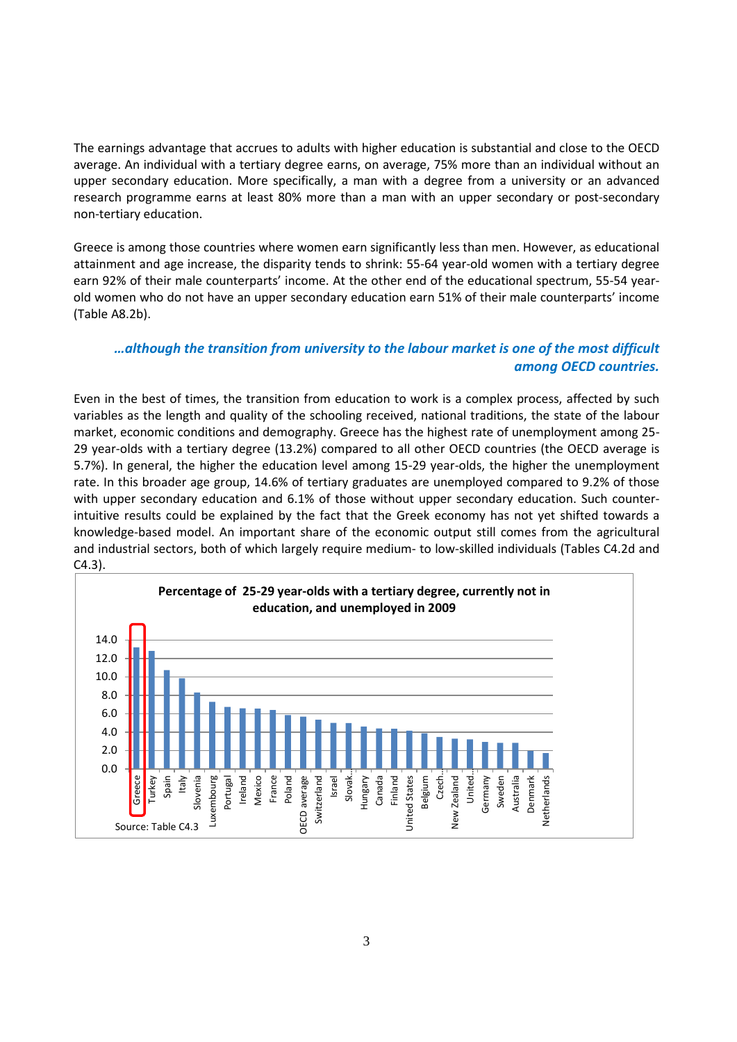The earnings advantage that accrues to adults with higher education is substantial and close to the OECD average. An individual with a tertiary degree earns, on average, 75% more than an individual without an upper secondary education. More specifically, a man with a degree from a university or an advanced research programme earns at least 80% more than a man with an upper secondary or post-secondary non-tertiary education.

Greece is among those countries where women earn significantly less than men. However, as educational attainment and age increase, the disparity tends to shrink: 55-64 year-old women with a tertiary degree earn 92% of their male counterparts' income. At the other end of the educational spectrum, 55-54 yearold women who do not have an upper secondary education earn 51% of their male counterparts' income (Table A8.2b).

## *…although the transition from university to the labour market is one of the most difficult among OECD countries.*

Even in the best of times, the transition from education to work is a complex process, affected by such variables as the length and quality of the schooling received, national traditions, the state of the labour market, economic conditions and demography. Greece has the highest rate of unemployment among 25- 29 year-olds with a tertiary degree (13.2%) compared to all other OECD countries (the OECD average is 5.7%). In general, the higher the education level among 15-29 year-olds, the higher the unemployment rate. In this broader age group, 14.6% of tertiary graduates are unemployed compared to 9.2% of those with upper secondary education and 6.1% of those without upper secondary education. Such counterintuitive results could be explained by the fact that the Greek economy has not yet shifted towards a knowledge-based model. An important share of the economic output still comes from the agricultural and industrial sectors, both of which largely require medium- to low-skilled individuals (Tables C4.2d and C4.3).

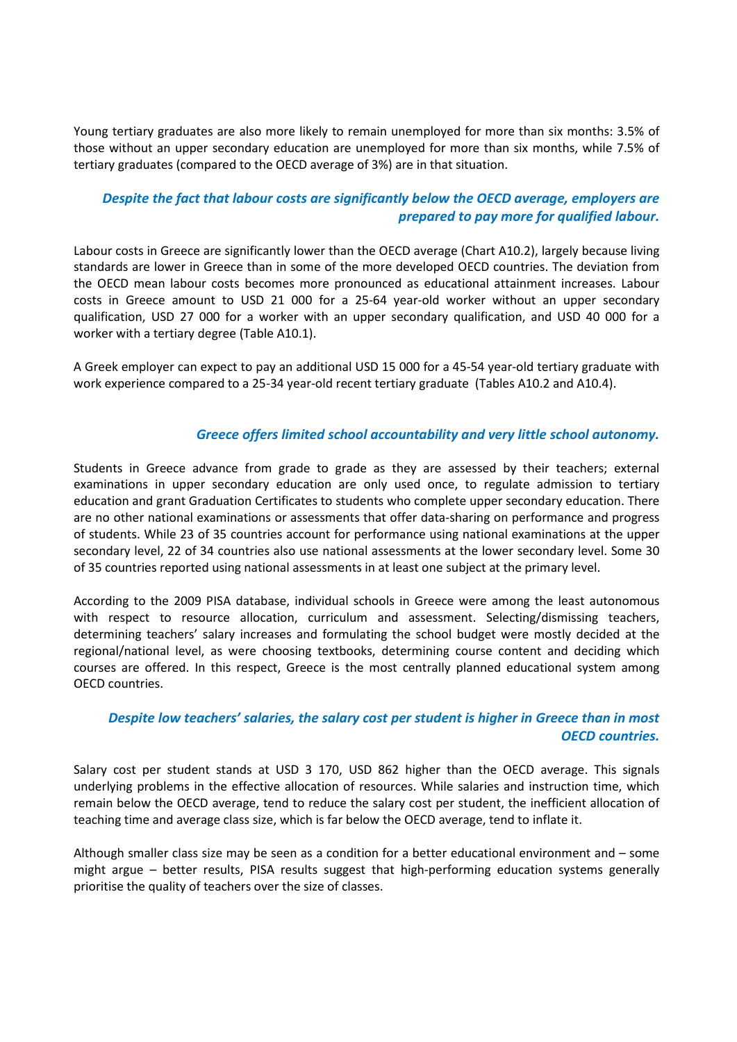Young tertiary graduates are also more likely to remain unemployed for more than six months: 3.5% of those without an upper secondary education are unemployed for more than six months, while 7.5% of tertiary graduates (compared to the OECD average of 3%) are in that situation.

# *Despite the fact that labour costs are significantly below the OECD average, employers are prepared to pay more for qualified labour.*

Labour costs in Greece are significantly lower than the OECD average (Chart A10.2), largely because living standards are lower in Greece than in some of the more developed OECD countries. The deviation from the OECD mean labour costs becomes more pronounced as educational attainment increases. Labour costs in Greece amount to USD 21 000 for a 25-64 year-old worker without an upper secondary qualification, USD 27 000 for a worker with an upper secondary qualification, and USD 40 000 for a worker with a tertiary degree (Table A10.1).

A Greek employer can expect to pay an additional USD 15 000 for a 45-54 year-old tertiary graduate with work experience compared to a 25-34 year-old recent tertiary graduate (Tables A10.2 and A10.4).

### *Greece offers limited school accountability and very little school autonomy.*

Students in Greece advance from grade to grade as they are assessed by their teachers; external examinations in upper secondary education are only used once, to regulate admission to tertiary education and grant Graduation Certificates to students who complete upper secondary education. There are no other national examinations or assessments that offer data-sharing on performance and progress of students. While 23 of 35 countries account for performance using national examinations at the upper secondary level, 22 of 34 countries also use national assessments at the lower secondary level. Some 30 of 35 countries reported using national assessments in at least one subject at the primary level.

According to the 2009 PISA database, individual schools in Greece were among the least autonomous with respect to resource allocation, curriculum and assessment. Selecting/dismissing teachers, determining teachers' salary increases and formulating the school budget were mostly decided at the regional/national level, as were choosing textbooks, determining course content and deciding which courses are offered. In this respect, Greece is the most centrally planned educational system among OECD countries.

## *Despite low teachers' salaries, the salary cost per student is higher in Greece than in most OECD countries.*

Salary cost per student stands at USD 3 170, USD 862 higher than the OECD average. This signals underlying problems in the effective allocation of resources. While salaries and instruction time, which remain below the OECD average, tend to reduce the salary cost per student, the inefficient allocation of teaching time and average class size, which is far below the OECD average, tend to inflate it.

Although smaller class size may be seen as a condition for a better educational environment and – some might argue – better results, PISA results suggest that high-performing education systems generally prioritise the quality of teachers over the size of classes.